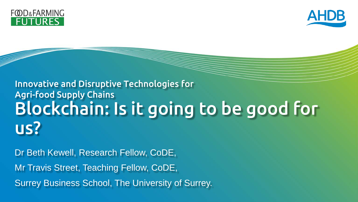



#### Blockchain: Is it going to be good for us? Innovative and Disruptive Technologies for Agri-food Supply Chains

Dr Beth Kewell, Research Fellow, CoDE,

Mr Travis Street, Teaching Fellow, CoDE,

Surrey Business School, The University of Surrey.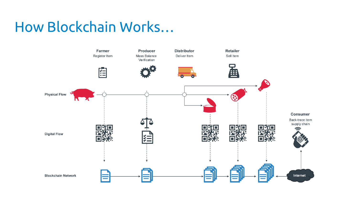### How Blockchain Works…

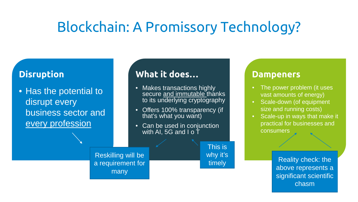### Blockchain: A Promissory Technology?

#### **Disruption**

• Has the potential to disrupt every business sector and every profession

#### **What it does…**

- Makes transactions highly secure <u>and immutable t</u>hanks to its underlying cryptography
- Offers 100% transparency (if that's what you want)
- Can be used in conjunction with AI, 5G and I o T

This is why it's timely

#### **Dampeners**

- The power problem (it uses vast amounts of energy)
- Scale-down (of equipment size and running costs)
- Scale-up in ways that make it practical for businesses and consumers

Reality check: the above represents a significant scientific chasm

Reskilling will be a requirement for many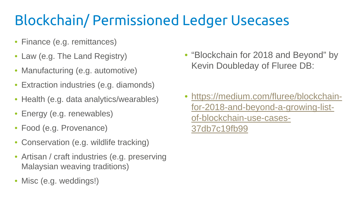### Blockchain/ Permissioned Ledger Usecases

- Finance (e.g. remittances)
- Law (e.g. The Land Registry)
- Manufacturing (e.g. automotive)
- Extraction industries (e.g. diamonds)
- Health (e.g. data analytics/wearables)
- Energy (e.g. renewables)
- Food (e.g. Provenance)
- Conservation (e.g. wildlife tracking)
- Artisan / craft industries (e.g. preserving Malaysian weaving traditions)
- Misc (e.g. weddings!)

• "Blockchain for 2018 and Beyond" by Kevin Doubleday of Fluree DB:

• [https://medium.com/fluree/blockchain](https://medium.com/fluree/blockchain-for-2018-and-beyond-a-growing-list-of-blockchain-use-cases-37db7c19fb99)for-2018-and-beyond-a-growing-listof-blockchain-use-cases-37db7c19fb99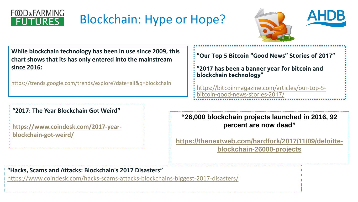

### Blockchain: Hype or Hope?



**While blockchain technology has been in use since 2009, this chart shows that its has only entered into the mainstream since 2016:**

<https://trends.google.com/trends/explore?date=all&q=blockchain>

#### **"2017: The Year Blockchain Got Weird"**

**[https://www.coindesk.com/2017-year](https://www.coindesk.com/2017-year-blockchain-got-weird/)blockchain-got-weird/**

**"Our Top 5 Bitcoin "Good News" Stories of 2017"** 

**"2017 has been a banner year for bitcoin and blockchain technology"**

[https://bitcoinmagazine.com/articles/our-top-5](https://bitcoinmagazine.com/articles/our-top-5-bitcoin-good-news-stories-2017/) bitcoin-good-news-stories-2017/

**"26,000 blockchain projects launched in 2016, 92 percent are now dead"**

**[https://thenextweb.com/hardfork/2017/11/09/deloitte](https://thenextweb.com/hardfork/2017/11/09/deloitte-blockchain-26000-projects)blockchain-26000-projects**

**"Hacks, Scams and Attacks: Blockchain's 2017 Disasters"**

<https://www.coindesk.com/hacks-scams-attacks-blockchains-biggest-2017-disasters/>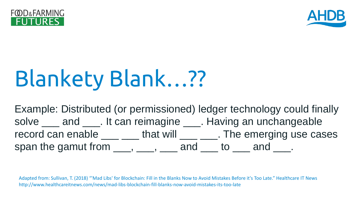



# Blankety Blank…??

Example: Distributed (or permissioned) ledger technology could finally solve <u>\_\_\_</u> and \_\_\_\_. It can reimagine \_\_\_\_. Having an unchangeable record can enable  $\_\_\_\_\_$  that will  $\_\_\_\_\_$ . The emerging use cases span the gamut from  $\underline{\hspace{1cm}}$ ,  $\underline{\hspace{1cm}}$ ,  $\underline{\hspace{1cm}}$  and  $\underline{\hspace{1cm}}$  to  $\underline{\hspace{1cm}}$  and  $\underline{\hspace{1cm}}$ .

Adapted from: Sullivan, T. (2018) "'Mad Libs' for Blockchain: Fill in the Blanks Now to Avoid Mistakes Before it's Too Late." Healthcare IT News http://www.healthcareitnews.com/news/mad-libs-blockchain-fill-blanks-now-avoid-mistakes-its-too-late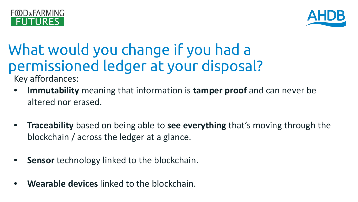



## What would you change if you had a permissioned ledger at your disposal?

Key affordances:

- **Immutability** meaning that information is **tamper proof** and can never be altered nor erased.
- **Traceability** based on being able to **see everything** that's moving through the blockchain / across the ledger at a glance.
- **Sensor** technology linked to the blockchain.
- **Wearable devices** linked to the blockchain.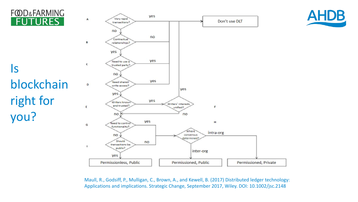#### **FOD&FARMING JTURES**

right for

you?

Is



**AHDB** 

Maull, R., Godsiff, P., Mulligan, C., Brown, A., and Kewell, B. (2017) Distributed ledger technology: Applications and implications. Strategic Change, September 2017, Wiley. DOI: 10.1002/jsc.2148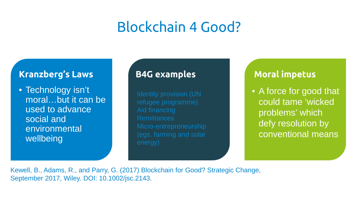### Blockchain 4 Good?

#### **Kranzberg's Laws**

• Technology isn't moral…but it can be used to advance social and environmental wellbeing

refugee programme) **Remittances** (egs. farming and solar

#### **B4G examples Moral impetus**

• A force for good that could tame 'wicked problems' which defy resolution by conventional means

Kewell, B., Adams, R., and Parry, G. (2017) Blockchain for Good? Strategic Change, September 2017, Wiley. DOI: 10.1002/jsc.2143.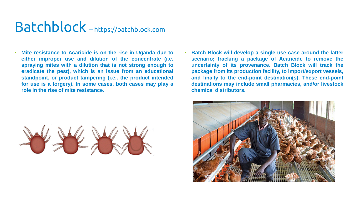### Batchblock – https://batchblock.com

- **Mite resistance to Acaricide is on the rise in Uganda due to either improper use and dilution of the concentrate (i.e. spraying mites with a dilution that is not strong enough to eradicate the pest), which is an issue from an educational standpoint, or product tampering (i.e.. the product intended for use is a forgery). In some cases, both cases may play a role in the rise of mite resistance.**
- **Batch Block will develop a single use case around the latter scenario; tracking a package of Acaricide to remove the uncertainty of its provenance. Batch Block will track the package from its production facility, to import/export vessels, and finally to the end-point destination(s). These end-point destinations may include small pharmacies, and/or livestock chemical distributors.**